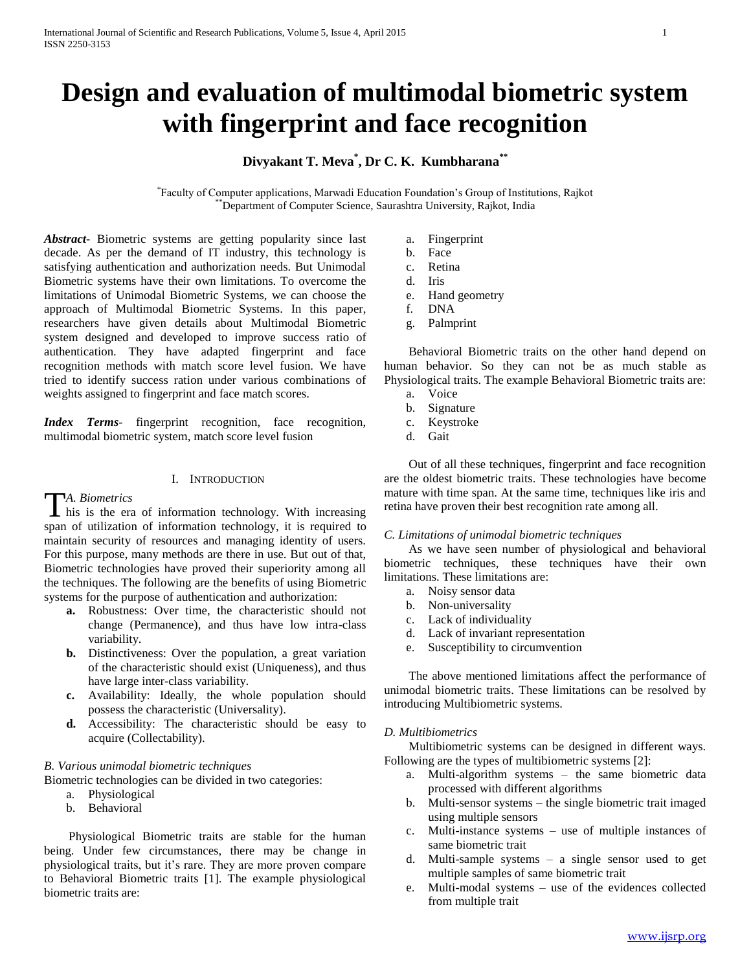# **Design and evaluation of multimodal biometric system with fingerprint and face recognition**

# **Divyakant T. Meva\* , Dr C. K. Kumbharana\*\***

\* Faculty of Computer applications, Marwadi Education Foundation's Group of Institutions, Rajkot \*\*Department of Computer Science, Saurashtra University, Rajkot, India

*Abstract***-** Biometric systems are getting popularity since last decade. As per the demand of IT industry, this technology is satisfying authentication and authorization needs. But Unimodal Biometric systems have their own limitations. To overcome the limitations of Unimodal Biometric Systems, we can choose the approach of Multimodal Biometric Systems. In this paper, researchers have given details about Multimodal Biometric system designed and developed to improve success ratio of authentication. They have adapted fingerprint and face recognition methods with match score level fusion. We have tried to identify success ration under various combinations of weights assigned to fingerprint and face match scores.

*Index Terms*- fingerprint recognition, face recognition, multimodal biometric system, match score level fusion

#### I. INTRODUCTION

#### *A. Biometrics*

# TA. Biometrics<br>his is the era of information technology. With increasing span of utilization of information technology, it is required to maintain security of resources and managing identity of users. For this purpose, many methods are there in use. But out of that, Biometric technologies have proved their superiority among all the techniques. The following are the benefits of using Biometric systems for the purpose of authentication and authorization:

- **a.** Robustness: Over time, the characteristic should not change (Permanence), and thus have low intra-class variability.
- **b.** Distinctiveness: Over the population, a great variation of the characteristic should exist (Uniqueness), and thus have large inter-class variability.
- **c.** Availability: Ideally, the whole population should possess the characteristic (Universality).
- **d.** Accessibility: The characteristic should be easy to acquire (Collectability).

# *B. Various unimodal biometric techniques*

Biometric technologies can be divided in two categories:

- a. Physiological
- b. Behavioral

 Physiological Biometric traits are stable for the human being. Under few circumstances, there may be change in physiological traits, but it's rare. They are more proven compare to Behavioral Biometric traits [1]. The example physiological biometric traits are:

- a. Fingerprint
- b. Face
- c. Retina
- d. Iris
- e. Hand geometry
- f. DNA
- g. Palmprint

 Behavioral Biometric traits on the other hand depend on human behavior. So they can not be as much stable as Physiological traits. The example Behavioral Biometric traits are:

- a. Voice
- b. Signature
- c. Keystroke
- d. Gait

 Out of all these techniques, fingerprint and face recognition are the oldest biometric traits. These technologies have become mature with time span. At the same time, techniques like iris and retina have proven their best recognition rate among all.

#### *C. Limitations of unimodal biometric techniques*

 As we have seen number of physiological and behavioral biometric techniques, these techniques have their own limitations. These limitations are:

- a. Noisy sensor data
- b. Non-universality
- c. Lack of individuality
- d. Lack of invariant representation
- e. Susceptibility to circumvention

 The above mentioned limitations affect the performance of unimodal biometric traits. These limitations can be resolved by introducing Multibiometric systems.

# *D. Multibiometrics*

 Multibiometric systems can be designed in different ways. Following are the types of multibiometric systems [2]:

- a. Multi-algorithm systems the same biometric data processed with different algorithms
- b. Multi-sensor systems the single biometric trait imaged using multiple sensors
- c. Multi-instance systems use of multiple instances of same biometric trait
- d. Multi-sample systems a single sensor used to get multiple samples of same biometric trait
- e. Multi-modal systems use of the evidences collected from multiple trait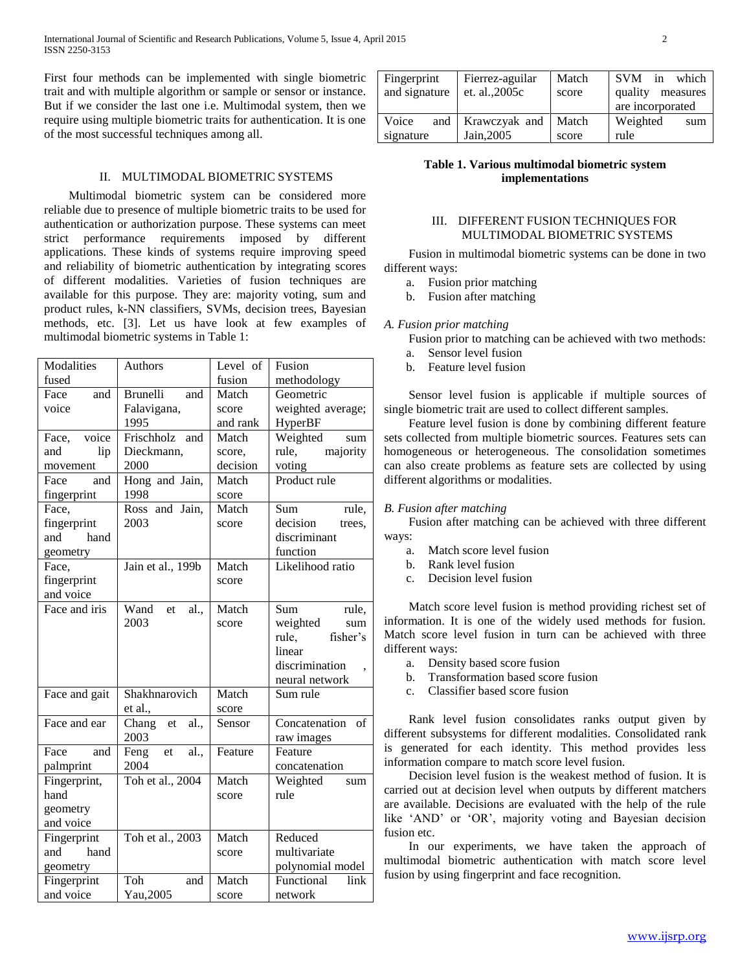First four methods can be implemented with single biometric trait and with multiple algorithm or sample or sensor or instance. But if we consider the last one i.e. Multimodal system, then we require using multiple biometric traits for authentication. It is one of the most successful techniques among all.

### II. MULTIMODAL BIOMETRIC SYSTEMS

 Multimodal biometric system can be considered more reliable due to presence of multiple biometric traits to be used for authentication or authorization purpose. These systems can meet strict performance requirements imposed by different applications. These kinds of systems require improving speed and reliability of biometric authentication by integrating scores of different modalities. Varieties of fusion techniques are available for this purpose. They are: majority voting, sum and product rules, k-NN classifiers, SVMs, decision trees, Bayesian methods, etc. [3]. Let us have look at few examples of multimodal biometric systems in Table 1:

| Modalities     | Authors                               | Level of | Fusion              |  |  |
|----------------|---------------------------------------|----------|---------------------|--|--|
| fused          |                                       | fusion   | methodology         |  |  |
| Face<br>and    | $\overline{B}$ runelli<br>and         | Match    | Geometric           |  |  |
| voice          | Falavigana,                           | score    | weighted average;   |  |  |
|                | 1995                                  | and rank | HyperBF             |  |  |
| voice<br>Face, | Frischholz<br>and                     | Match    | Weighted<br>sum     |  |  |
| and<br>lip     | Dieckmann,                            | score,   | rule, majority      |  |  |
| movement       | 2000                                  | decision | voting              |  |  |
| and<br>Face    | Hong and Jain,                        | Match    | Product rule        |  |  |
| fingerprint    | 1998                                  | score    |                     |  |  |
| Face,          | Ross and Jain,                        | Match    | rule,<br>Sum        |  |  |
| fingerprint    | 2003                                  | score    | decision<br>trees,  |  |  |
| and<br>hand    |                                       |          | discriminant        |  |  |
| geometry       |                                       |          | function            |  |  |
| Face,          | $\overline{\text{Jain}}$ et al., 199b | Match    | Likelihood ratio    |  |  |
| fingerprint    |                                       | score    |                     |  |  |
| and voice      |                                       |          |                     |  |  |
| Face and iris  | Wand<br>al.,<br>et                    | Match    | Sum<br>rule,        |  |  |
|                | 2003                                  | score    | weighted<br>sum     |  |  |
|                |                                       |          | fisher's<br>rule,   |  |  |
|                |                                       |          | linear              |  |  |
|                |                                       |          | discrimination      |  |  |
|                |                                       |          | neural network      |  |  |
| Face and gait  | Shakhnarovich                         | Match    | Sum rule            |  |  |
|                | et al.,                               | score    |                     |  |  |
| Face and ear   | Chang et<br>al.,                      | Sensor   | Concatenation<br>of |  |  |
|                | 2003                                  |          | raw images          |  |  |
| Face<br>and    | $\overline{\text{Feng}}$ et<br>al.,   | Feature  | Feature             |  |  |
| palmprint      | 2004                                  |          | concatenation       |  |  |
| Fingerprint,   | Toh et al., 2004                      | Match    | Weighted<br>sum     |  |  |
| hand           |                                       | score    | rule                |  |  |
| geometry       |                                       |          |                     |  |  |
| and voice      |                                       |          |                     |  |  |
| Fingerprint    | Toh et al., 2003                      | Match    | Reduced             |  |  |
| and<br>hand    |                                       | score    | multivariate        |  |  |
| geometry       |                                       |          | polynomial model    |  |  |
| Fingerprint    | Toh<br>and                            | Match    | Functional<br>link  |  |  |
| and voice      | Yau, 2005                             | score    | network             |  |  |

| Fingerprint   | Fierrez-aguilar             | Match | SVM in which     |  |
|---------------|-----------------------------|-------|------------------|--|
| and signature | et. al., 2005c              | score | quality measures |  |
|               |                             |       | are incorporated |  |
| Voice         | and   Krawczyak and   Match |       | Weighted<br>sum  |  |
| signature     | Jain. 2005                  | score | rule             |  |

# **Table 1. Various multimodal biometric system implementations**

# III. DIFFERENT FUSION TECHNIQUES FOR MULTIMODAL BIOMETRIC SYSTEMS

 Fusion in multimodal biometric systems can be done in two different ways:

a. Fusion prior matching

b. Fusion after matching

*A. Fusion prior matching*

- Fusion prior to matching can be achieved with two methods:
- a. Sensor level fusion
- b. Feature level fusion

 Sensor level fusion is applicable if multiple sources of single biometric trait are used to collect different samples.

 Feature level fusion is done by combining different feature sets collected from multiple biometric sources. Features sets can homogeneous or heterogeneous. The consolidation sometimes can also create problems as feature sets are collected by using different algorithms or modalities.

#### *B. Fusion after matching*

 Fusion after matching can be achieved with three different ways:

- a. Match score level fusion
- b. Rank level fusion
- c. Decision level fusion

 Match score level fusion is method providing richest set of information. It is one of the widely used methods for fusion. Match score level fusion in turn can be achieved with three different ways:

- a. Density based score fusion
- b. Transformation based score fusion
- c. Classifier based score fusion

 Rank level fusion consolidates ranks output given by different subsystems for different modalities. Consolidated rank is generated for each identity. This method provides less information compare to match score level fusion.

 Decision level fusion is the weakest method of fusion. It is carried out at decision level when outputs by different matchers are available. Decisions are evaluated with the help of the rule like 'AND' or 'OR', majority voting and Bayesian decision fusion etc.

 In our experiments, we have taken the approach of multimodal biometric authentication with match score level fusion by using fingerprint and face recognition.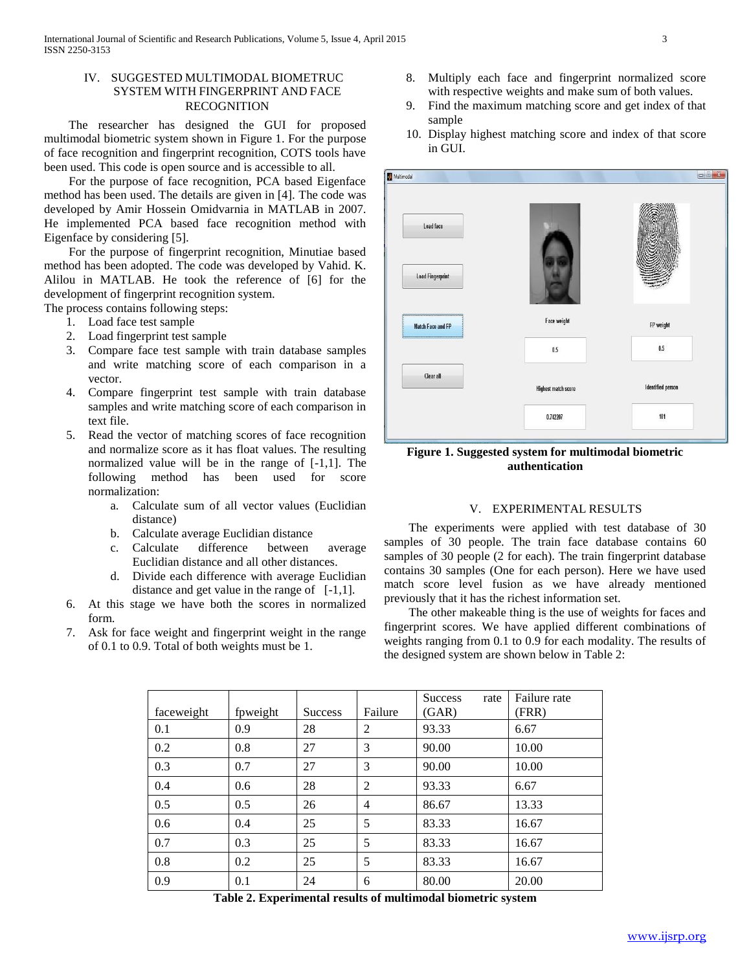# IV. SUGGESTED MULTIMODAL BIOMETRUC SYSTEM WITH FINGERPRINT AND FACE RECOGNITION

 The researcher has designed the GUI for proposed multimodal biometric system shown in Figure 1. For the purpose of face recognition and fingerprint recognition, COTS tools have been used. This code is open source and is accessible to all.

 For the purpose of face recognition, PCA based Eigenface method has been used. The details are given in [4]. The code was developed by Amir Hossein Omidvarnia in MATLAB in 2007. He implemented PCA based face recognition method with Eigenface by considering [5].

 For the purpose of fingerprint recognition, Minutiae based method has been adopted. The code was developed by Vahid. K. Alilou in MATLAB. He took the reference of [6] for the development of fingerprint recognition system.

The process contains following steps:

- 1. Load face test sample
- 2. Load fingerprint test sample
- 3. Compare face test sample with train database samples and write matching score of each comparison in a vector.
- 4. Compare fingerprint test sample with train database samples and write matching score of each comparison in text file.
- 5. Read the vector of matching scores of face recognition and normalize score as it has float values. The resulting normalized value will be in the range of [-1,1]. The following method has been used for score normalization:
	- a. Calculate sum of all vector values (Euclidian distance)
	- b. Calculate average Euclidian distance
	- c. Calculate difference between average Euclidian distance and all other distances.
	- d. Divide each difference with average Euclidian distance and get value in the range of  $[-1,1]$ .
- 6. At this stage we have both the scores in normalized form.
- 7. Ask for face weight and fingerprint weight in the range of 0.1 to 0.9. Total of both weights must be 1.
- 8. Multiply each face and fingerprint normalized score with respective weights and make sum of both values.
- 9. Find the maximum matching score and get index of that sample
- 10. Display highest matching score and index of that score in GUI.



# **Figure 1. Suggested system for multimodal biometric authentication**

# V. EXPERIMENTAL RESULTS

 The experiments were applied with test database of 30 samples of 30 people. The train face database contains 60 samples of 30 people (2 for each). The train fingerprint database contains 30 samples (One for each person). Here we have used match score level fusion as we have already mentioned previously that it has the richest information set.

 The other makeable thing is the use of weights for faces and fingerprint scores. We have applied different combinations of weights ranging from 0.1 to 0.9 for each modality. The results of the designed system are shown below in Table 2:

| faceweight | fpweight | <b>Success</b> | Failure        | <b>Success</b><br>rate<br>(GAR) | Failure rate<br>(FRR) |
|------------|----------|----------------|----------------|---------------------------------|-----------------------|
| 0.1        | 0.9      | 28             | 2              | 93.33                           | 6.67                  |
| 0.2        | 0.8      | 27             | 3              | 90.00                           | 10.00                 |
| 0.3        | 0.7      | 27             | 3              | 90.00                           | 10.00                 |
| 0.4        | 0.6      | 28             | $\overline{2}$ | 93.33                           | 6.67                  |
| 0.5        | 0.5      | 26             | $\overline{4}$ | 86.67                           | 13.33                 |
| 0.6        | 0.4      | 25             | 5              | 83.33                           | 16.67                 |
| 0.7        | 0.3      | 25             | 5              | 83.33                           | 16.67                 |
| 0.8        | 0.2      | 25             | 5              | 83.33                           | 16.67                 |
| 0.9        | 0.1      | 24             | 6              | 80.00                           | 20.00                 |

**Table 2. Experimental results of multimodal biometric system**